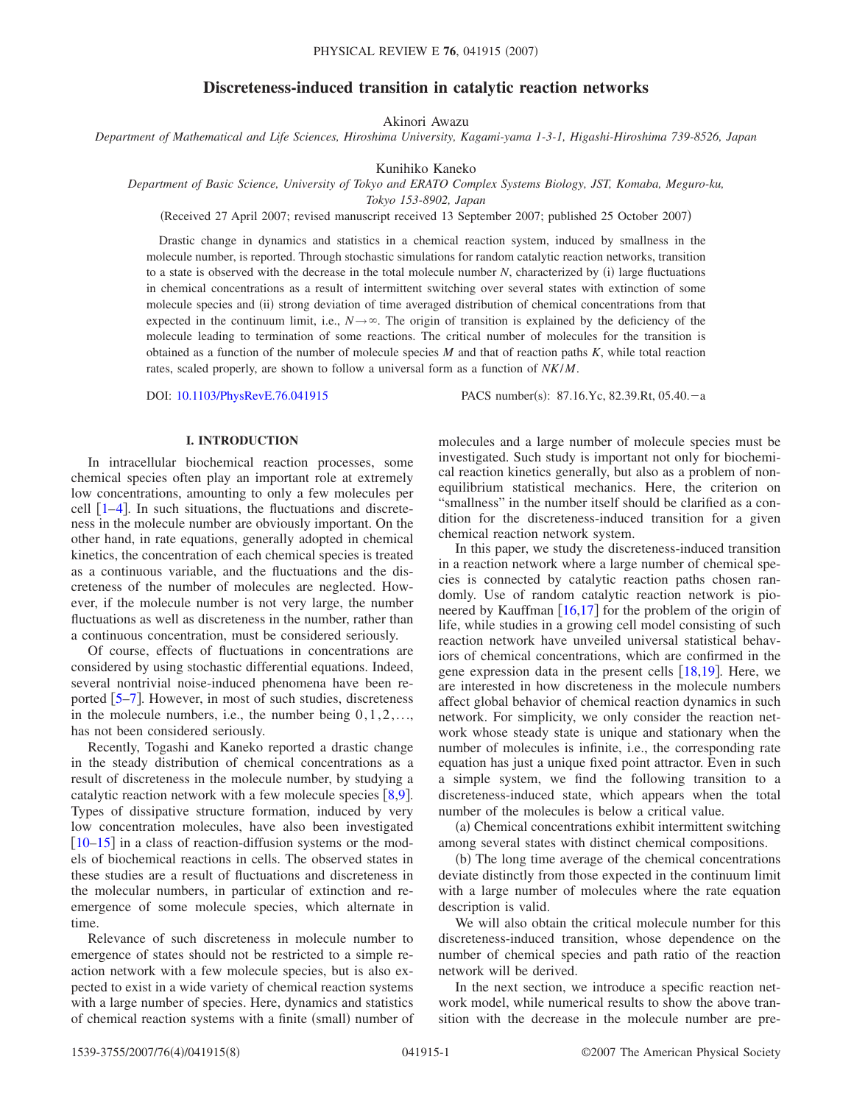# **Discreteness-induced transition in catalytic reaction networks**

Akinori Awazu

*Department of Mathematical and Life Sciences, Hiroshima University, Kagami-yama 1-3-1, Higashi-Hiroshima 739-8526, Japan*

Kunihiko Kaneko

*Department of Basic Science, University of Tokyo and ERATO Complex Systems Biology, JST, Komaba, Meguro-ku,*

*Tokyo 153-8902, Japan*

(Received 27 April 2007; revised manuscript received 13 September 2007; published 25 October 2007)

Drastic change in dynamics and statistics in a chemical reaction system, induced by smallness in the molecule number, is reported. Through stochastic simulations for random catalytic reaction networks, transition to a state is observed with the decrease in the total molecule number  $N$ , characterized by  $(i)$  large fluctuations in chemical concentrations as a result of intermittent switching over several states with extinction of some molecule species and (ii) strong deviation of time averaged distribution of chemical concentrations from that expected in the continuum limit, i.e.,  $N \rightarrow \infty$ . The origin of transition is explained by the deficiency of the molecule leading to termination of some reactions. The critical number of molecules for the transition is obtained as a function of the number of molecule species *M* and that of reaction paths *K*, while total reaction rates, scaled properly, are shown to follow a universal form as a function of *NK*/*M*.

DOI: [10.1103/PhysRevE.76.041915](http://dx.doi.org/10.1103/PhysRevE.76.041915)

: 87.16.Yc, 82.39.Rt, 05.40.-a

### **I. INTRODUCTION**

In intracellular biochemical reaction processes, some chemical species often play an important role at extremely low concentrations, amounting to only a few molecules per cell  $\lceil 1-4 \rceil$  $\lceil 1-4 \rceil$  $\lceil 1-4 \rceil$ . In such situations, the fluctuations and discreteness in the molecule number are obviously important. On the other hand, in rate equations, generally adopted in chemical kinetics, the concentration of each chemical species is treated as a continuous variable, and the fluctuations and the discreteness of the number of molecules are neglected. However, if the molecule number is not very large, the number fluctuations as well as discreteness in the number, rather than a continuous concentration, must be considered seriously.

Of course, effects of fluctuations in concentrations are considered by using stochastic differential equations. Indeed, several nontrivial noise-induced phenomena have been reported  $\lceil 5-7 \rceil$  $\lceil 5-7 \rceil$  $\lceil 5-7 \rceil$ . However, in most of such studies, discreteness in the molecule numbers, i.e., the number being  $0, 1, 2, \ldots$ , has not been considered seriously.

Recently, Togashi and Kaneko reported a drastic change in the steady distribution of chemical concentrations as a result of discreteness in the molecule number, by studying a catalytic reaction network with a few molecule species  $[8,9]$  $[8,9]$  $[8,9]$  $[8,9]$ . Types of dissipative structure formation, induced by very low concentration molecules, have also been investigated  $[10-15]$  $[10-15]$  $[10-15]$  in a class of reaction-diffusion systems or the models of biochemical reactions in cells. The observed states in these studies are a result of fluctuations and discreteness in the molecular numbers, in particular of extinction and reemergence of some molecule species, which alternate in time.

Relevance of such discreteness in molecule number to emergence of states should not be restricted to a simple reaction network with a few molecule species, but is also expected to exist in a wide variety of chemical reaction systems with a large number of species. Here, dynamics and statistics of chemical reaction systems with a finite (small) number of

molecules and a large number of molecule species must be investigated. Such study is important not only for biochemical reaction kinetics generally, but also as a problem of nonequilibrium statistical mechanics. Here, the criterion on "smallness" in the number itself should be clarified as a condition for the discreteness-induced transition for a given chemical reaction network system.

In this paper, we study the discreteness-induced transition in a reaction network where a large number of chemical species is connected by catalytic reaction paths chosen randomly. Use of random catalytic reaction network is pioneered by Kauffman  $\left[16,17\right]$  $\left[16,17\right]$  $\left[16,17\right]$  $\left[16,17\right]$  for the problem of the origin of life, while studies in a growing cell model consisting of such reaction network have unveiled universal statistical behaviors of chemical concentrations, which are confirmed in the gene expression data in the present cells  $[18,19]$  $[18,19]$  $[18,19]$  $[18,19]$ . Here, we are interested in how discreteness in the molecule numbers affect global behavior of chemical reaction dynamics in such network. For simplicity, we only consider the reaction network whose steady state is unique and stationary when the number of molecules is infinite, i.e., the corresponding rate equation has just a unique fixed point attractor. Even in such a simple system, we find the following transition to a discreteness-induced state, which appears when the total number of the molecules is below a critical value.

(a) Chemical concentrations exhibit intermittent switching among several states with distinct chemical compositions.

(b) The long time average of the chemical concentrations deviate distinctly from those expected in the continuum limit with a large number of molecules where the rate equation description is valid.

We will also obtain the critical molecule number for this discreteness-induced transition, whose dependence on the number of chemical species and path ratio of the reaction network will be derived.

In the next section, we introduce a specific reaction network model, while numerical results to show the above transition with the decrease in the molecule number are pre-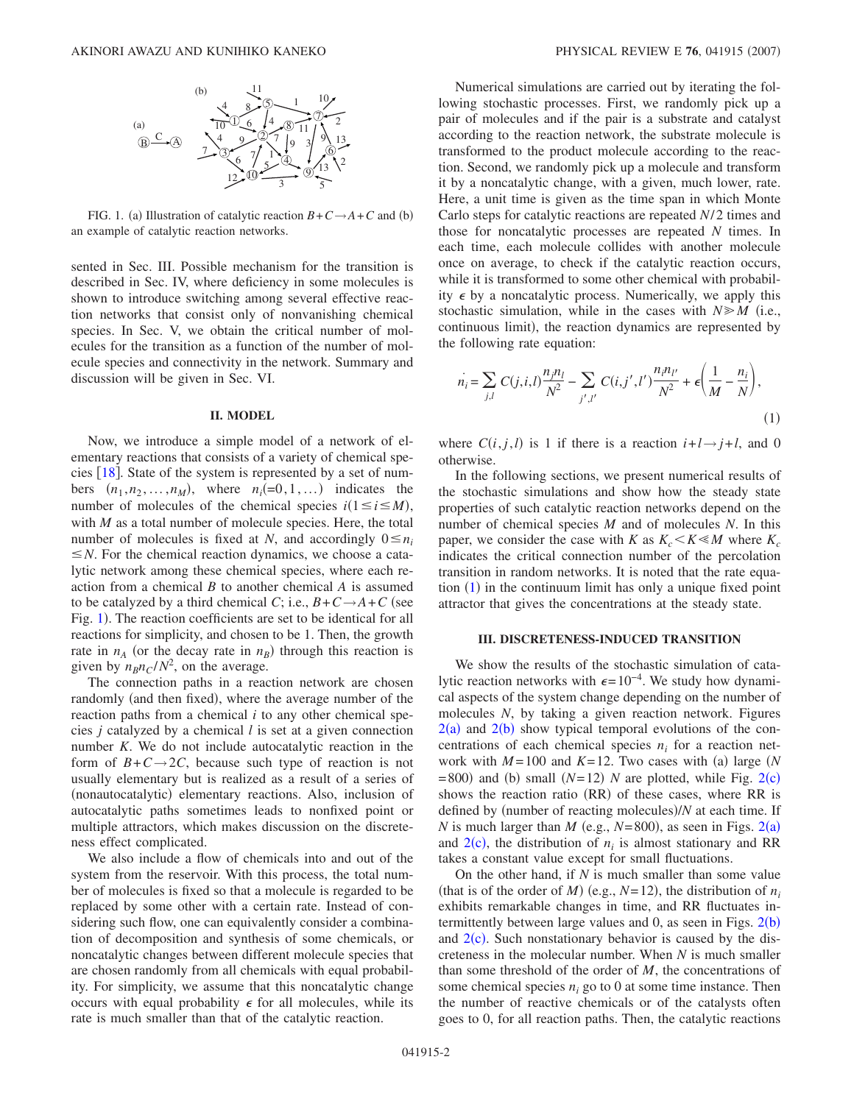<span id="page-1-0"></span>

FIG. 1. (a) Illustration of catalytic reaction  $B + C \rightarrow A + C$  and (b) an example of catalytic reaction networks.

sented in Sec. III. Possible mechanism for the transition is described in Sec. IV, where deficiency in some molecules is shown to introduce switching among several effective reaction networks that consist only of nonvanishing chemical species. In Sec. V, we obtain the critical number of molecules for the transition as a function of the number of molecule species and connectivity in the network. Summary and discussion will be given in Sec. VI.

# **II. MODEL**

Now, we introduce a simple model of a network of elementary reactions that consists of a variety of chemical species  $[18]$  $[18]$  $[18]$ . State of the system is represented by a set of numbers  $(n_1, n_2, \ldots, n_M)$ , where  $n_i(=0, 1, \ldots)$  indicates the number of molecules of the chemical species  $i(1 \le i \le M)$ , with *M* as a total number of molecule species. Here, the total number of molecules is fixed at *N*, and accordingly  $0 \le n_i$  $\leq N$ . For the chemical reaction dynamics, we choose a catalytic network among these chemical species, where each reaction from a chemical *B* to another chemical *A* is assumed to be catalyzed by a third chemical *C*; i.e.,  $B+C\rightarrow A+C$  (see Fig. [1](#page-1-0)). The reaction coefficients are set to be identical for all reactions for simplicity, and chosen to be 1. Then, the growth rate in  $n_A$  (or the decay rate in  $n_B$ ) through this reaction is given by  $n_B n_C/N^2$ , on the average.

The connection paths in a reaction network are chosen randomly (and then fixed), where the average number of the reaction paths from a chemical *i* to any other chemical species *j* catalyzed by a chemical *l* is set at a given connection number *K*. We do not include autocatalytic reaction in the form of  $B+C\rightarrow 2C$ , because such type of reaction is not usually elementary but is realized as a result of a series of (nonautocatalytic) elementary reactions. Also, inclusion of autocatalytic paths sometimes leads to nonfixed point or multiple attractors, which makes discussion on the discreteness effect complicated.

We also include a flow of chemicals into and out of the system from the reservoir. With this process, the total number of molecules is fixed so that a molecule is regarded to be replaced by some other with a certain rate. Instead of considering such flow, one can equivalently consider a combination of decomposition and synthesis of some chemicals, or noncatalytic changes between different molecule species that are chosen randomly from all chemicals with equal probability. For simplicity, we assume that this noncatalytic change occurs with equal probability  $\epsilon$  for all molecules, while its rate is much smaller than that of the catalytic reaction.

Numerical simulations are carried out by iterating the following stochastic processes. First, we randomly pick up a pair of molecules and if the pair is a substrate and catalyst according to the reaction network, the substrate molecule is transformed to the product molecule according to the reaction. Second, we randomly pick up a molecule and transform it by a noncatalytic change, with a given, much lower, rate. Here, a unit time is given as the time span in which Monte Carlo steps for catalytic reactions are repeated *N*/ 2 times and those for noncatalytic processes are repeated *N* times. In each time, each molecule collides with another molecule once on average, to check if the catalytic reaction occurs, while it is transformed to some other chemical with probability  $\epsilon$  by a noncatalytic process. Numerically, we apply this stochastic simulation, while in the cases with  $N \ge M$  (i.e., continuous limit), the reaction dynamics are represented by the following rate equation:

<span id="page-1-1"></span>
$$
\dot{n}_i = \sum_{j,l} C(j,i,l) \frac{n_j n_l}{N^2} - \sum_{j',l'} C(i,j',l') \frac{n_i n_{l'}}{N^2} + \epsilon \left( \frac{1}{M} - \frac{n_i}{N} \right),\tag{1}
$$

where  $C(i, j, l)$  is 1 if there is a reaction  $i+l \rightarrow j+l$ , and 0 otherwise.

In the following sections, we present numerical results of the stochastic simulations and show how the steady state properties of such catalytic reaction networks depend on the number of chemical species *M* and of molecules *N*. In this paper, we consider the case with *K* as  $K_c \le K \le M$  where  $K_c$ indicates the critical connection number of the percolation transition in random networks. It is noted that the rate equa-tion ([1](#page-1-1)) in the continuum limit has only a unique fixed point attractor that gives the concentrations at the steady state.

# **III. DISCRETENESS-INDUCED TRANSITION**

We show the results of the stochastic simulation of catalytic reaction networks with  $\epsilon = 10^{-4}$ . We study how dynamical aspects of the system change depending on the number of molecules *N*, by taking a given reaction network. Figures  $2(a)$  $2(a)$  and  $2(b)$  show typical temporal evolutions of the concentrations of each chemical species  $n_i$  for a reaction network with  $M = 100$  and  $K = 12$ . Two cases with (a) large (N  $= 800$ ) and (b) small  $(N=12)$  $(N=12)$  $(N=12)$  *N* are plotted, while Fig. 2(c) shows the reaction ratio (RR) of these cases, where RR is defined by (number of reacting molecules)/N at each time. If *N* is much larger than *M* (e.g.,  $N=800$ ), as seen in Figs. [2](#page-2-0)(a) and  $2(c)$  $2(c)$ , the distribution of  $n_i$  is almost stationary and RR takes a constant value except for small fluctuations.

On the other hand, if *N* is much smaller than some value (that is of the order of *M*) (e.g.,  $N=12$ ), the distribution of  $n_i$ exhibits remarkable changes in time, and RR fluctuates intermittently between large values and  $0$ , as seen in Figs.  $2(b)$  $2(b)$ and  $2(c)$  $2(c)$ . Such nonstationary behavior is caused by the discreteness in the molecular number. When *N* is much smaller than some threshold of the order of *M*, the concentrations of some chemical species  $n_i$  go to 0 at some time instance. Then the number of reactive chemicals or of the catalysts often goes to 0, for all reaction paths. Then, the catalytic reactions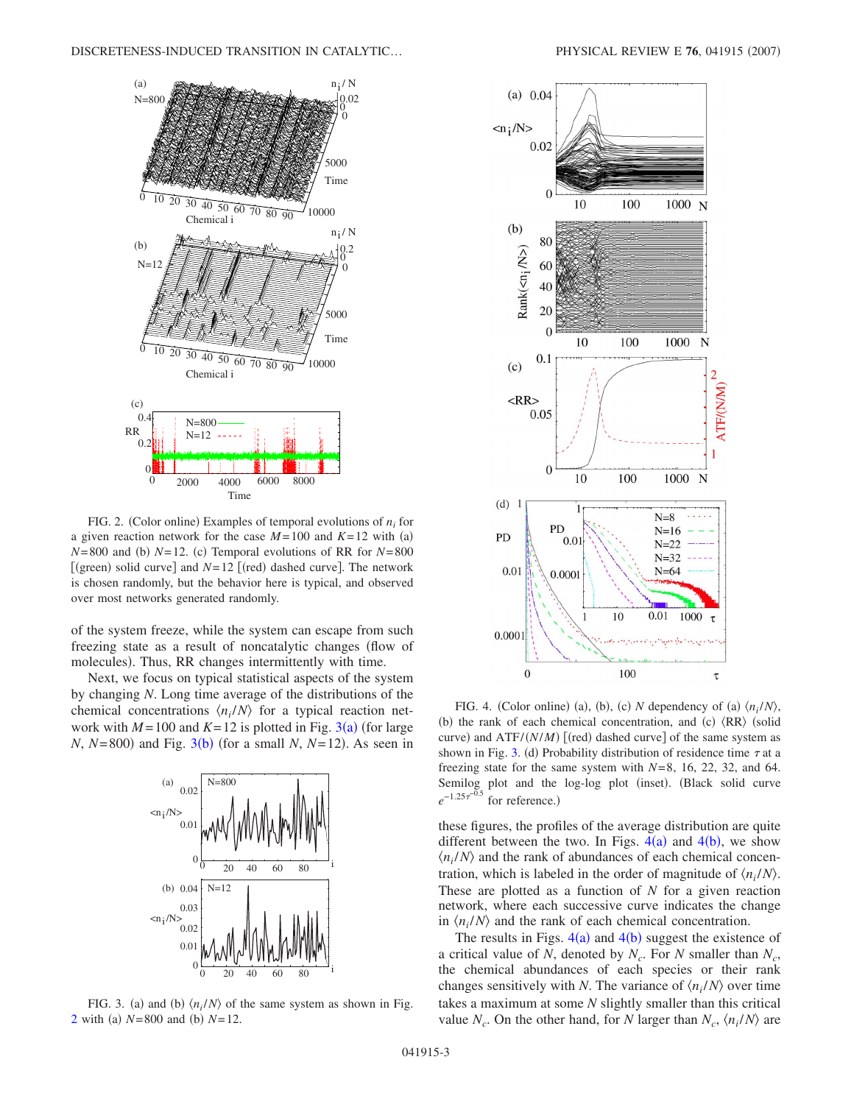<span id="page-2-0"></span>

FIG. 2. (Color online) Examples of temporal evolutions of  $n_i$  for a given reaction network for the case  $M = 100$  and  $K = 12$  with (a)  $N=800$  and (b)  $N=12$ . (c) Temporal evolutions of RR for  $N=800$ [(green) solid curve] and  $N=12$  [(red) dashed curve]. The network is chosen randomly, but the behavior here is typical, and observed over most networks generated randomly.

of the system freeze, while the system can escape from such freezing state as a result of noncatalytic changes flow of molecules). Thus, RR changes intermittently with time.

Next, we focus on typical statistical aspects of the system by changing *N*. Long time average of the distributions of the chemical concentrations  $\langle n_i/N \rangle$  for a typical reaction network with  $M = 100$  and  $K = 12$  is plotted in Fig. [3](#page-2-1)(a) (for large  $N$ ,  $N = 800$ ) and Fig. [3](#page-2-1)(b) (for a small  $N$ ,  $N = 12$ ). As seen in

<span id="page-2-1"></span>

FIG. 3. (a) and (b)  $\langle n_i/N \rangle$  of the same system as shown in Fig. [2](#page-2-0) with (a)  $N = 800$  and (b)  $N = 12$ .

<span id="page-2-2"></span>

FIG. 4. (Color online) (a), (b), (c) N dependency of (a)  $\langle n_i/N \rangle$ , (b) the rank of each chemical concentration, and (c)  $\langle RR \rangle$  (solid curve) and ATF/*(N/M)* [(red) dashed curve] of the same system as shown in Fig. [3.](#page-2-1) (d) Probability distribution of residence time  $\tau$  at a freezing state for the same system with  $N=8$ , 16, 22, 32, and 64. Semilog plot and the log-log plot (inset). (Black solid curve  $e^{-1.25\tau^{-0.5}}$ for reference.)

these figures, the profiles of the average distribution are quite different between the two. In Figs.  $4(a)$  $4(a)$  and  $4(b)$ , we show  $\langle n_i/N \rangle$  and the rank of abundances of each chemical concentration, which is labeled in the order of magnitude of  $\langle n_i/N \rangle$ . These are plotted as a function of *N* for a given reaction network, where each successive curve indicates the change in  $\langle n_i/N \rangle$  and the rank of each chemical concentration.

The results in Figs.  $4(a)$  $4(a)$  and  $4(b)$  suggest the existence of a critical value of *N*, denoted by  $N_c$ . For *N* smaller than  $N_c$ , the chemical abundances of each species or their rank changes sensitively with *N*. The variance of  $\langle n_i/N \rangle$  over time takes a maximum at some *N* slightly smaller than this critical value  $N_c$ . On the other hand, for *N* larger than  $N_c$ ,  $\langle n_i/N \rangle$  are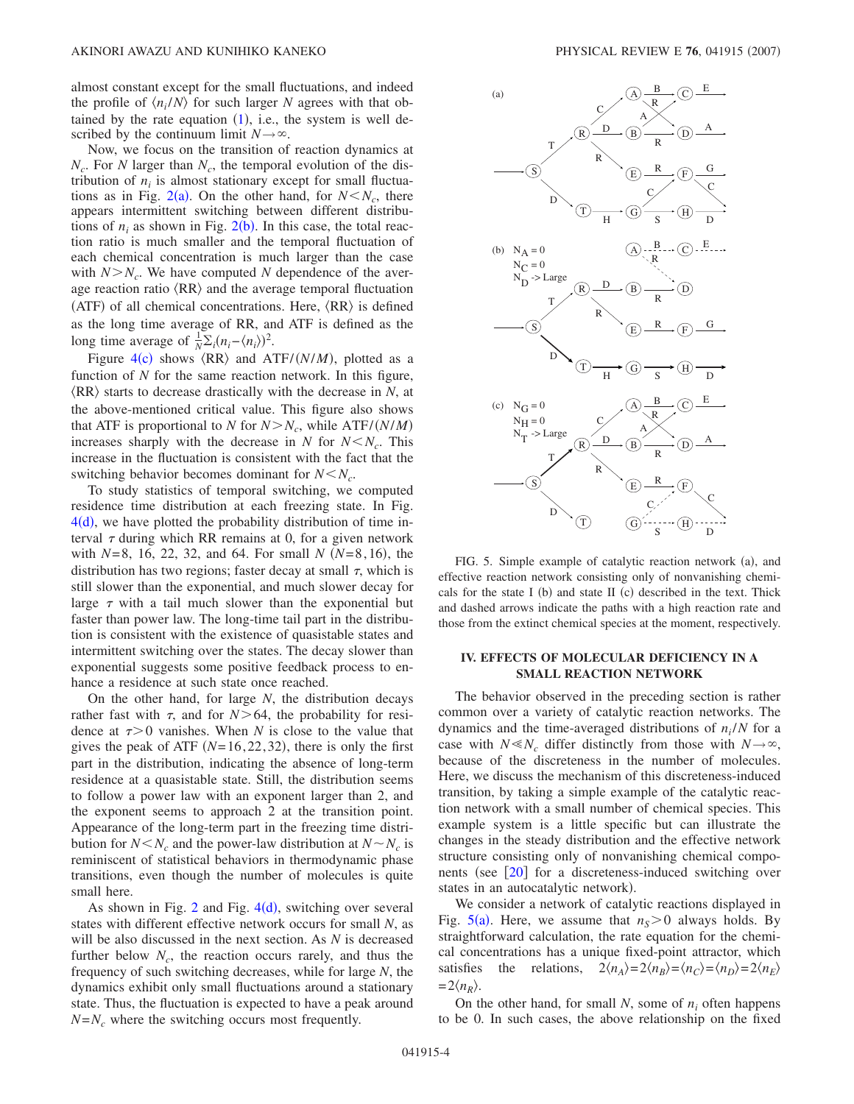almost constant except for the small fluctuations, and indeed the profile of  $\langle n_i/N \rangle$  for such larger *N* agrees with that obtained by the rate equation  $(1)$  $(1)$  $(1)$ , i.e., the system is well described by the continuum limit  $N \rightarrow \infty$ .

Now, we focus on the transition of reaction dynamics at  $N_c$ . For *N* larger than  $N_c$ , the temporal evolution of the distribution of  $n_i$  is almost stationary except for small fluctua-tions as in Fig. [2](#page-2-0)(a). On the other hand, for  $N < N_c$ , there appears intermittent switching between different distributions of  $n_i$  as shown in Fig. [2](#page-2-0)(b). In this case, the total reaction ratio is much smaller and the temporal fluctuation of each chemical concentration is much larger than the case with  $N > N_c$ . We have computed N dependence of the average reaction ratio  $\langle RR \rangle$  and the average temporal fluctuation (ATF) of all chemical concentrations. Here,  $\langle RR \rangle$  is defined as the long time average of RR, and ATF is defined as the long time average of  $\frac{1}{N}\sum_i (n_i - \langle n_i \rangle)^2$ .

Figure  $4(c)$  $4(c)$  shows  $\langle RR \rangle$  and  $\text{ATF}/(N/M)$ , plotted as a function of *N* for the same reaction network. In this figure,  $\langle RR \rangle$  starts to decrease drastically with the decrease in *N*, at the above-mentioned critical value. This figure also shows that ATF is proportional to *N* for  $N > N_c$ , while ATF/*(N/M)* increases sharply with the decrease in *N* for  $N < N_c$ . This increase in the fluctuation is consistent with the fact that the switching behavior becomes dominant for  $N < N_c$ .

To study statistics of temporal switching, we computed residence time distribution at each freezing state. In Fig.  $4(d)$  $4(d)$ , we have plotted the probability distribution of time interval  $\tau$  during which RR remains at 0, for a given network with  $N=8$ , 16, 22, 32, and 64. For small *N* ( $N=8$ , 16), the distribution has two regions; faster decay at small  $\tau$ , which is still slower than the exponential, and much slower decay for large  $\tau$  with a tail much slower than the exponential but faster than power law. The long-time tail part in the distribution is consistent with the existence of quasistable states and intermittent switching over the states. The decay slower than exponential suggests some positive feedback process to enhance a residence at such state once reached.

On the other hand, for large *N*, the distribution decays rather fast with  $\tau$ , and for *N* > 64, the probability for residence at  $\tau > 0$  vanishes. When *N* is close to the value that gives the peak of ATF  $(N=16, 22, 32)$ , there is only the first part in the distribution, indicating the absence of long-term residence at a quasistable state. Still, the distribution seems to follow a power law with an exponent larger than 2, and the exponent seems to approach 2 at the transition point. Appearance of the long-term part in the freezing time distribution for  $N < N_c$  and the power-law distribution at  $N \sim N_c$  is reminiscent of statistical behaviors in thermodynamic phase transitions, even though the number of molecules is quite small here.

As shown in Fig.  $2$  and Fig.  $4(d)$  $4(d)$ , switching over several states with different effective network occurs for small *N*, as will be also discussed in the next section. As *N* is decreased further below  $N_c$ , the reaction occurs rarely, and thus the frequency of such switching decreases, while for large *N*, the dynamics exhibit only small fluctuations around a stationary state. Thus, the fluctuation is expected to have a peak around  $N=N_c$  where the switching occurs most frequently.

<span id="page-3-0"></span>

FIG. 5. Simple example of catalytic reaction network (a), and effective reaction network consisting only of nonvanishing chemicals for the state I (b) and state II (c) described in the text. Thick and dashed arrows indicate the paths with a high reaction rate and those from the extinct chemical species at the moment, respectively.

# **IV. EFFECTS OF MOLECULAR DEFICIENCY IN A SMALL REACTION NETWORK**

The behavior observed in the preceding section is rather common over a variety of catalytic reaction networks. The dynamics and the time-averaged distributions of  $n_i/N$  for a case with  $N \ll N_c$  differ distinctly from those with  $N \rightarrow \infty$ , because of the discreteness in the number of molecules. Here, we discuss the mechanism of this discreteness-induced transition, by taking a simple example of the catalytic reaction network with a small number of chemical species. This example system is a little specific but can illustrate the changes in the steady distribution and the effective network structure consisting only of nonvanishing chemical components (see  $[20]$  $[20]$  $[20]$  for a discreteness-induced switching over states in an autocatalytic network).

We consider a network of catalytic reactions displayed in Fig.  $5(a)$  $5(a)$ . Here, we assume that  $n<sub>S</sub> > 0$  always holds. By straightforward calculation, the rate equation for the chemical concentrations has a unique fixed-point attractor, which satisfies the relations,  $2\langle n_A \rangle = 2\langle n_B \rangle = \langle n_C \rangle = \langle n_D \rangle = 2\langle n_E \rangle$  $= 2\langle n_R \rangle$ .

On the other hand, for small *N*, some of *ni* often happens to be 0. In such cases, the above relationship on the fixed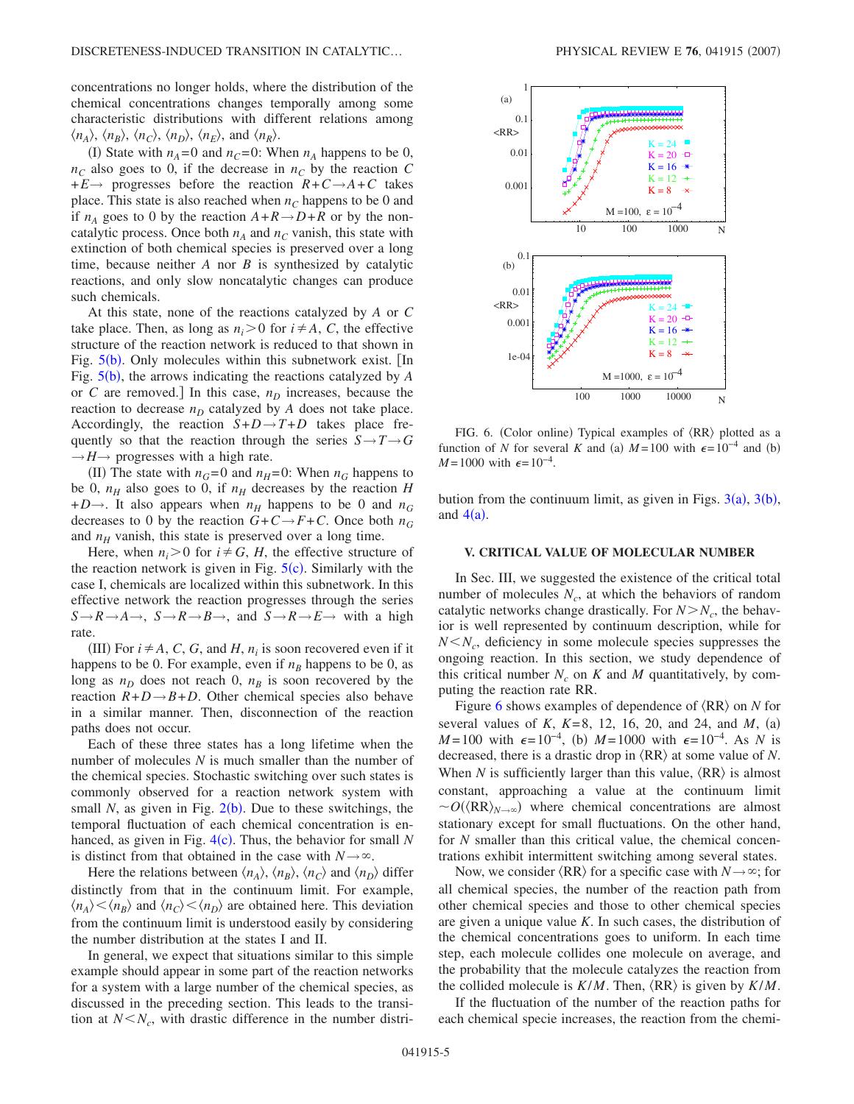concentrations no longer holds, where the distribution of the chemical concentrations changes temporally among some characteristic distributions with different relations among  $\langle n_A \rangle$ ,  $\langle n_B \rangle$ ,  $\langle n_C \rangle$ ,  $\langle n_D \rangle$ ,  $\langle n_E \rangle$ , and  $\langle n_R \rangle$ .

(I) State with  $n_A = 0$  and  $n_C = 0$ : When  $n_A$  happens to be 0,  $n_c$  also goes to 0, if the decrease in  $n_c$  by the reaction *C*  $+E \rightarrow$  progresses before the reaction  $R + C \rightarrow A + C$  takes place. This state is also reached when  $n_c$  happens to be 0 and if  $n_A$  goes to 0 by the reaction  $A + R \rightarrow D + R$  or by the noncatalytic process. Once both  $n_A$  and  $n_C$  vanish, this state with extinction of both chemical species is preserved over a long time, because neither *A* nor *B* is synthesized by catalytic reactions, and only slow noncatalytic changes can produce such chemicals.

At this state, none of the reactions catalyzed by *A* or *C* take place. Then, as long as  $n_i > 0$  for  $i \neq A$ , *C*, the effective structure of the reaction network is reduced to that shown in Fig.  $5(b)$  $5(b)$ . Only molecules within this subnetwork exist. [In Fig. [5](#page-3-0)(b), the arrows indicating the reactions catalyzed by *A* or *C* are removed. In this case,  $n<sub>D</sub>$  increases, because the reaction to decrease  $n<sub>D</sub>$  catalyzed by *A* does not take place. Accordingly, the reaction  $S+D \rightarrow T+D$  takes place frequently so that the reaction through the series  $S \rightarrow T \rightarrow G$  $\rightarrow$ *H* $\rightarrow$  progresses with a high rate.

(II) The state with  $n_G = 0$  and  $n_H = 0$ : When  $n_G$  happens to be 0,  $n_H$  also goes to 0, if  $n_H$  decreases by the reaction *H*  $+D\rightarrow$ . It also appears when  $n_H$  happens to be 0 and  $n_G$ decreases to 0 by the reaction  $G + C \rightarrow F + C$ . Once both  $n_G$ and  $n_H$  vanish, this state is preserved over a long time.

Here, when  $n_i > 0$  for  $i \neq G$ , *H*, the effective structure of the reaction network is given in Fig.  $5(c)$  $5(c)$ . Similarly with the case I, chemicals are localized within this subnetwork. In this effective network the reaction progresses through the series  $S \rightarrow R \rightarrow A \rightarrow$ ,  $S \rightarrow R \rightarrow B \rightarrow$ , and  $S \rightarrow R \rightarrow E \rightarrow$  with a high rate.

(III) For  $i \neq A$ , *C*, *G*, and *H*,  $n_i$  is soon recovered even if it happens to be 0. For example, even if  $n<sub>B</sub>$  happens to be 0, as long as  $n<sub>D</sub>$  does not reach 0,  $n<sub>B</sub>$  is soon recovered by the reaction  $R + D \rightarrow B + D$ . Other chemical species also behave in a similar manner. Then, disconnection of the reaction paths does not occur.

Each of these three states has a long lifetime when the number of molecules *N* is much smaller than the number of the chemical species. Stochastic switching over such states is commonly observed for a reaction network system with small  $N$ , as given in Fig.  $2(b)$  $2(b)$ . Due to these switchings, the temporal fluctuation of each chemical concentration is en-hanced, as given in Fig. [4](#page-2-2)(c). Thus, the behavior for small *N* is distinct from that obtained in the case with  $N \rightarrow \infty$ .

Here the relations between  $\langle n_A \rangle$ ,  $\langle n_B \rangle$ ,  $\langle n_C \rangle$  and  $\langle n_D \rangle$  differ distinctly from that in the continuum limit. For example,  $\langle n_A \rangle \langle n_B \rangle$  and  $\langle n_C \rangle \langle n_D \rangle$  are obtained here. This deviation from the continuum limit is understood easily by considering the number distribution at the states I and II.

In general, we expect that situations similar to this simple example should appear in some part of the reaction networks for a system with a large number of the chemical species, as discussed in the preceding section. This leads to the transition at  $N < N_c$ , with drastic difference in the number distri-

<span id="page-4-0"></span>

FIG. 6. (Color online) Typical examples of  $\langle RR \rangle$  plotted as a function of *N* for several *K* and (a)  $M = 100$  with  $\epsilon = 10^{-4}$  and (b) *M* = 1000 with  $\epsilon$  = 10<sup>-4</sup>.

bution from the continuum limit, as given in Figs.  $3(a)$  $3(a)$ ,  $3(b)$ , and  $4(a)$  $4(a)$ .

# **V. CRITICAL VALUE OF MOLECULAR NUMBER**

In Sec. III, we suggested the existence of the critical total number of molecules  $N_c$ , at which the behaviors of random catalytic networks change drastically. For  $N > N_c$ , the behavior is well represented by continuum description, while for  $N < N_c$ , deficiency in some molecule species suppresses the ongoing reaction. In this section, we study dependence of this critical number  $N_c$  on  $K$  and  $M$  quantitatively, by computing the reaction rate RR.

Figure [6](#page-4-0) shows examples of dependence of  $\langle RR \rangle$  on *N* for several values of *K*,  $K=8$ , 12, 16, 20, and 24, and *M*, (a)  $M=100$  with  $\epsilon=10^{-4}$ , (b)  $M=1000$  with  $\epsilon=10^{-4}$ . As *N* is decreased, there is a drastic drop in  $\langle RR \rangle$  at some value of *N*. When  $N$  is sufficiently larger than this value,  $\langle RR \rangle$  is almost constant, approaching a value at the continuum limit  $\sim O(\langle RR \rangle_{N \to \infty})$  where chemical concentrations are almost stationary except for small fluctuations. On the other hand, for *N* smaller than this critical value, the chemical concentrations exhibit intermittent switching among several states.

Now, we consider  $\langle RR \rangle$  for a specific case with  $N \rightarrow \infty$ ; for all chemical species, the number of the reaction path from other chemical species and those to other chemical species are given a unique value *K*. In such cases, the distribution of the chemical concentrations goes to uniform. In each time step, each molecule collides one molecule on average, and the probability that the molecule catalyzes the reaction from the collided molecule is  $K/M$ . Then,  $\langle RR \rangle$  is given by  $K/M$ .

If the fluctuation of the number of the reaction paths for each chemical specie increases, the reaction from the chemi-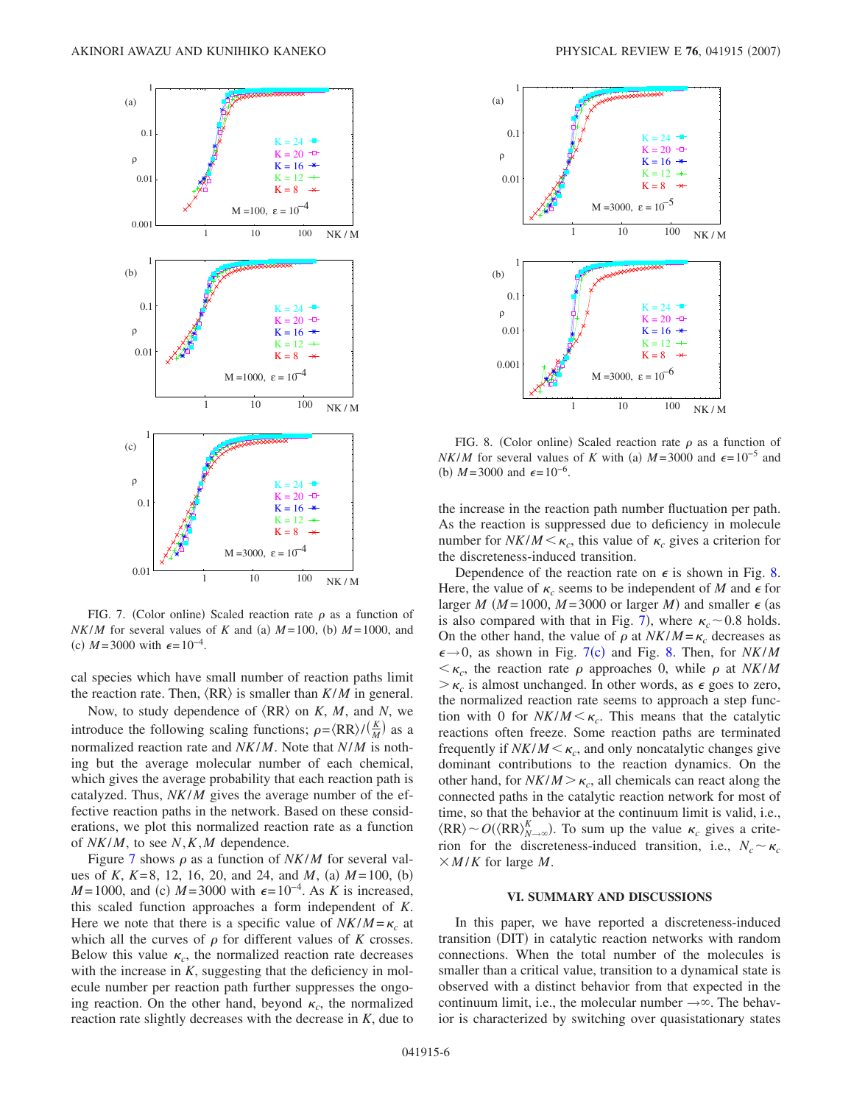<span id="page-5-0"></span>

FIG. 7. (Color online) Scaled reaction rate  $\rho$  as a function of *NK/M* for several values of *K* and (a)  $M = 100$ , (b)  $M = 1000$ , and (c)  $M = 3000$  with  $\epsilon = 10^{-4}$ .

cal species which have small number of reaction paths limit the reaction rate. Then,  $\langle RR \rangle$  is smaller than  $K/M$  in general.

Now, to study dependence of  $\langle RR \rangle$  on *K*, *M*, and *N*, we introduce the following scaling functions;  $\rho = \langle RR \rangle / (\frac{K}{M})$  as a normalized reaction rate and *NK*/*M*. Note that *N*/*M* is nothing but the average molecular number of each chemical, which gives the average probability that each reaction path is catalyzed. Thus, *NK*/*M* gives the average number of the effective reaction paths in the network. Based on these considerations, we plot this normalized reaction rate as a function of *NK*/*M*, to see *N*,*K*,*M* dependence.

Figure [7](#page-5-0) shows  $\rho$  as a function of *NK/M* for several values of *K*,  $K=8$ , 12, 16, 20, and 24, and *M*, (a)  $M=100$ , (b)  $M = 1000$ , and (c)  $M = 3000$  with  $\epsilon = 10^{-4}$ . As *K* is increased, this scaled function approaches a form independent of *K*. Here we note that there is a specific value of  $NK/M = \kappa_c$  at which all the curves of  $\rho$  for different values of  $K$  crosses. Below this value  $\kappa_c$ , the normalized reaction rate decreases with the increase in *K*, suggesting that the deficiency in molecule number per reaction path further suppresses the ongoing reaction. On the other hand, beyond  $\kappa_c$ , the normalized reaction rate slightly decreases with the decrease in *K*, due to

<span id="page-5-1"></span>

FIG. 8. (Color online) Scaled reaction rate  $\rho$  as a function of *NK/M* for several values of *K* with (a)  $M = 3000$  and  $\epsilon = 10^{-5}$  and (b)  $M = 3000$  and  $\epsilon = 10^{-6}$ .

the increase in the reaction path number fluctuation per path. As the reaction is suppressed due to deficiency in molecule number for  $N K / M < \kappa_c$ , this value of  $\kappa_c$  gives a criterion for the discreteness-induced transition.

Dependence of the reaction rate on  $\epsilon$  is shown in Fig. [8.](#page-5-1) Here, the value of  $\kappa_c$  seems to be independent of *M* and  $\epsilon$  for larger *M* ( $M = 1000$ ,  $M = 3000$  or larger *M*) and smaller  $\epsilon$  (as is also compared with that in Fig. [7](#page-5-0)), where  $\kappa_c$  ~ 0.8 holds. On the other hand, the value of  $\rho$  at  $NK/M = \kappa_c$  decreases as  $\epsilon \rightarrow 0$ , as shown in Fig. [7](#page-5-0)(c) and Fig. [8.](#page-5-1) Then, for *NK/M*  $\lt \kappa_c$ , the reaction rate  $\rho$  approaches 0, while  $\rho$  at *NK/M*  $>\kappa_c$  is almost unchanged. In other words, as  $\epsilon$  goes to zero, the normalized reaction rate seems to approach a step function with 0 for  $NK/M < \kappa_c$ . This means that the catalytic reactions often freeze. Some reaction paths are terminated frequently if  $NK/M < \kappa_c$ , and only noncatalytic changes give dominant contributions to the reaction dynamics. On the other hand, for  $NK/M > \kappa_c$ , all chemicals can react along the connected paths in the catalytic reaction network for most of time, so that the behavior at the continuum limit is valid, i.e.,  $\langle RR \rangle \sim O(\langle RR \rangle_{N \to \infty}^K)$ . To sum up the value  $\kappa_c$  gives a criterion for the discreteness-induced transition, i.e.,  $N_c \sim \kappa_c$  $\times$ *M*/*K* for large *M*.

### **VI. SUMMARY AND DISCUSSIONS**

In this paper, we have reported a discreteness-induced transition (DIT) in catalytic reaction networks with random connections. When the total number of the molecules is smaller than a critical value, transition to a dynamical state is observed with a distinct behavior from that expected in the continuum limit, i.e., the molecular number  $\rightarrow \infty$ . The behavior is characterized by switching over quasistationary states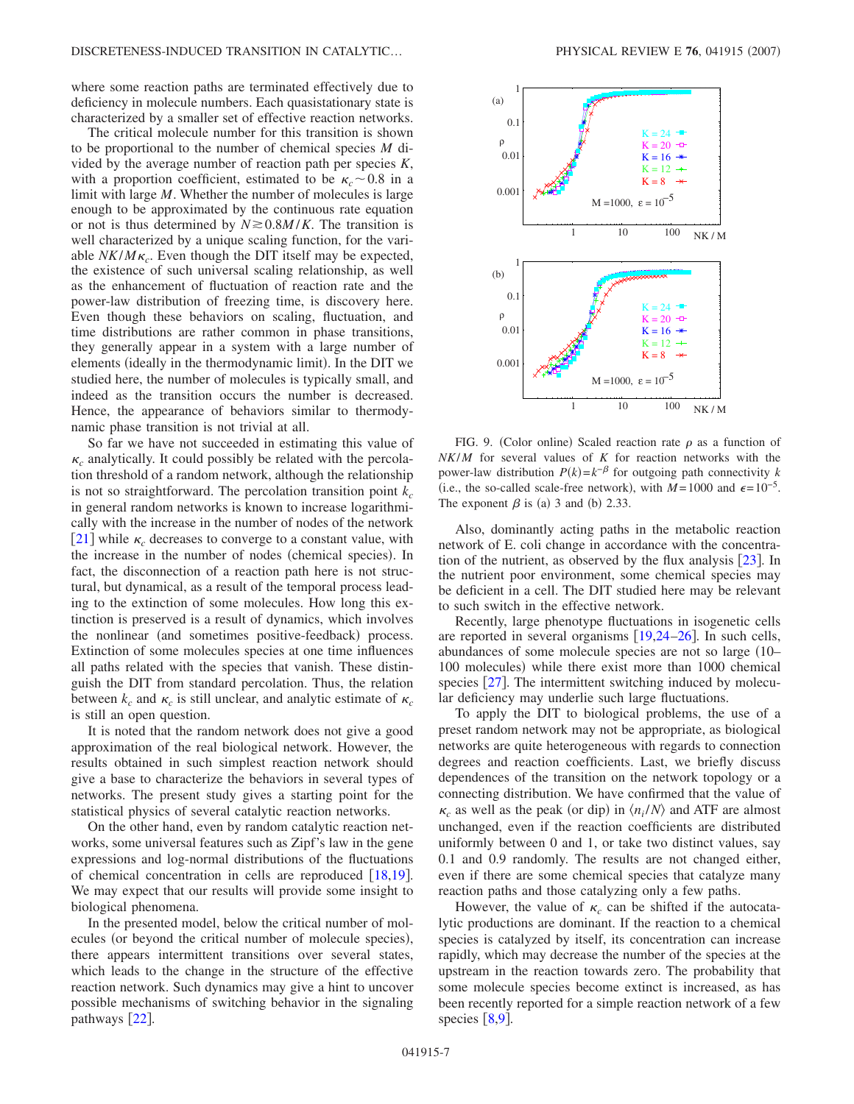where some reaction paths are terminated effectively due to deficiency in molecule numbers. Each quasistationary state is characterized by a smaller set of effective reaction networks.

The critical molecule number for this transition is shown to be proportional to the number of chemical species *M* divided by the average number of reaction path per species *K*, with a proportion coefficient, estimated to be  $\kappa_c \sim 0.8$  in a limit with large *M*. Whether the number of molecules is large enough to be approximated by the continuous rate equation or not is thus determined by  $N \ge 0.8M/K$ . The transition is well characterized by a unique scaling function, for the variable  $NK/M\kappa_c$ . Even though the DIT itself may be expected, the existence of such universal scaling relationship, as well as the enhancement of fluctuation of reaction rate and the power-law distribution of freezing time, is discovery here. Even though these behaviors on scaling, fluctuation, and time distributions are rather common in phase transitions, they generally appear in a system with a large number of elements (ideally in the thermodynamic limit). In the DIT we studied here, the number of molecules is typically small, and indeed as the transition occurs the number is decreased. Hence, the appearance of behaviors similar to thermodynamic phase transition is not trivial at all.

So far we have not succeeded in estimating this value of  $\kappa_c$  analytically. It could possibly be related with the percolation threshold of a random network, although the relationship is not so straightforward. The percolation transition point  $k_c$ in general random networks is known to increase logarithmically with the increase in the number of nodes of the network [[21](#page-7-13)] while  $\kappa_c$  decreases to converge to a constant value, with the increase in the number of nodes (chemical species). In fact, the disconnection of a reaction path here is not structural, but dynamical, as a result of the temporal process leading to the extinction of some molecules. How long this extinction is preserved is a result of dynamics, which involves the nonlinear (and sometimes positive-feedback) process. Extinction of some molecules species at one time influences all paths related with the species that vanish. These distinguish the DIT from standard percolation. Thus, the relation between  $k_c$  and  $\kappa_c$  is still unclear, and analytic estimate of  $\kappa_c$ is still an open question.

It is noted that the random network does not give a good approximation of the real biological network. However, the results obtained in such simplest reaction network should give a base to characterize the behaviors in several types of networks. The present study gives a starting point for the statistical physics of several catalytic reaction networks.

On the other hand, even by random catalytic reaction networks, some universal features such as Zipf's law in the gene expressions and log-normal distributions of the fluctuations of chemical concentration in cells are reproduced  $\lceil 18,19 \rceil$  $\lceil 18,19 \rceil$  $\lceil 18,19 \rceil$  $\lceil 18,19 \rceil$ . We may expect that our results will provide some insight to biological phenomena.

In the presented model, below the critical number of molecules (or beyond the critical number of molecule species), there appears intermittent transitions over several states, which leads to the change in the structure of the effective reaction network. Such dynamics may give a hint to uncover possible mechanisms of switching behavior in the signaling pathways  $[22]$  $[22]$  $[22]$ .

<span id="page-6-0"></span>

FIG. 9. (Color online) Scaled reaction rate  $\rho$  as a function of *NK*/*M* for several values of *K* for reaction networks with the power-law distribution  $P(k) = k^{-\beta}$  for outgoing path connectivity *k* (i.e., the so-called scale-free network), with  $M = 1000$  and  $\epsilon = 10^{-5}$ . The exponent  $\beta$  is (a) 3 and (b) 2.33.

Also, dominantly acting paths in the metabolic reaction network of E. coli change in accordance with the concentration of the nutrient, as observed by the flux analysis  $[23]$  $[23]$  $[23]$ . In the nutrient poor environment, some chemical species may be deficient in a cell. The DIT studied here may be relevant to such switch in the effective network.

Recently, large phenotype fluctuations in isogenetic cells are reported in several organisms  $[19,24-26]$  $[19,24-26]$  $[19,24-26]$  $[19,24-26]$ . In such cells, abundances of some molecule species are not so large (10– 100 molecules) while there exist more than 1000 chemical species  $[27]$  $[27]$  $[27]$ . The intermittent switching induced by molecular deficiency may underlie such large fluctuations.

To apply the DIT to biological problems, the use of a preset random network may not be appropriate, as biological networks are quite heterogeneous with regards to connection degrees and reaction coefficients. Last, we briefly discuss dependences of the transition on the network topology or a connecting distribution. We have confirmed that the value of  $\kappa_c$  as well as the peak (or dip) in  $\langle n_i/N \rangle$  and ATF are almost unchanged, even if the reaction coefficients are distributed uniformly between 0 and 1, or take two distinct values, say 0.1 and 0.9 randomly. The results are not changed either, even if there are some chemical species that catalyze many reaction paths and those catalyzing only a few paths.

However, the value of  $\kappa_c$  can be shifted if the autocatalytic productions are dominant. If the reaction to a chemical species is catalyzed by itself, its concentration can increase rapidly, which may decrease the number of the species at the upstream in the reaction towards zero. The probability that some molecule species become extinct is increased, as has been recently reported for a simple reaction network of a few species  $\lceil 8.9 \rceil$  $\lceil 8.9 \rceil$  $\lceil 8.9 \rceil$ .